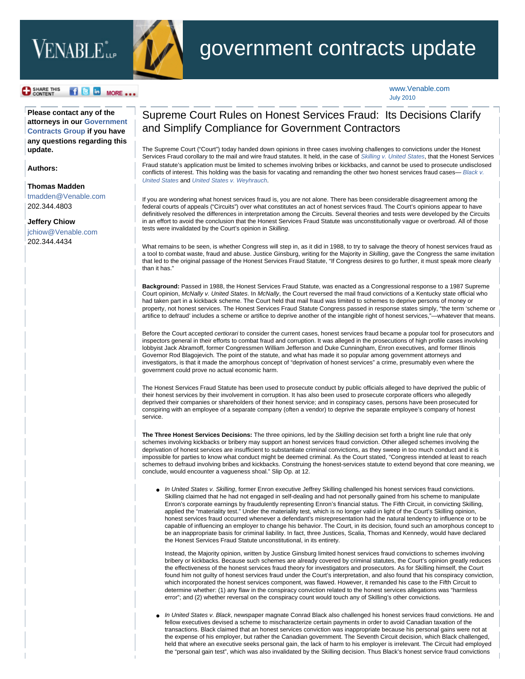## VENABLE<sup>\*</sup><sub>LLP</sub>



## government contracts update

SHARE THIS f B in MORE ... [www.Venable.com](http://www.venable.com/) July 2010

**Please contact any of the attorneys in our [Government](http://www.venable.com/government-contracts/) [Contracts Group](http://www.venable.com/government-contracts/) if you have any questions regarding this update.** 

**Authors:**

## **[Thomas Madden](http://www.venable.com/thomas-j-madden/)**

[tmadden@Venable.com](mailto:tmadden@Venable.com) 202.344.4803

**[Jeffery Chiow](http://www.venable.com/jeffery-m-chiow/)**  [jchiow@Venable.com](mailto:jchiow@Venable.com) 

202.344.4434

## Supreme Court Rules on Honest Services Fraud: Its Decisions Clarify and Simplify Compliance for Government Contractors

The Supreme Court ("Court") today handed down opinions in three cases involving challenges to convictions under the Honest Services Fraud corollary to the mail and wire fraud statutes. It held, in the case of *[Skilling v. United States](http://www.supremecourt.gov/opinions/09pdf/08-1394.pdf)*, that the Honest Services Fraud statute's application must be limited to schemes involving bribes or kickbacks, and cannot be used to prosecute undisclosed conflicts of interest. This holding was the basis for vacating and remanding the other two honest services fraud cases— *[Black v.](http://www.supremecourt.gov/opinions/09pdf/08-876.pdf)  [United States](http://www.supremecourt.gov/opinions/09pdf/08-876.pdf)* and *[United States v. Weyhrauch](http://www.supremecourt.gov/opinions/09pdf/08-1196.pdf)*.

If you are wondering what honest services fraud is, you are not alone. There has been considerable disagreement among the federal courts of appeals ("Circuits") over what constitutes an act of honest services fraud. The Court's opinions appear to have definitively resolved the differences in interpretation among the Circuits. Several theories and tests were developed by the Circuits in an effort to avoid the conclusion that the Honest Services Fraud Statute was unconstitutionally vague or overbroad. All of those tests were invalidated by the Court's opinion in *Skilling*.

What remains to be seen, is whether Congress will step in, as it did in 1988, to try to salvage the theory of honest services fraud as a tool to combat waste, fraud and abuse. Justice Ginsburg, writing for the Majority in *Skilling*, gave the Congress the same invitation that led to the original passage of the Honest Services Fraud Statute, "If Congress desires to go further, it must speak more clearly than it has."

**Background:** Passed in 1988, the Honest Services Fraud Statute, was enacted as a Congressional response to a 1987 Supreme Court opinion, *McNally v. United States*. In *McNally*, the Court reversed the mail fraud convictions of a Kentucky state official who had taken part in a kickback scheme. The Court held that mail fraud was limited to schemes to deprive persons of money or property, not honest services. The Honest Services Fraud Statute Congress passed in response states simply, "the term 'scheme or artifice to defraud' includes a scheme or artifice to deprive another of the intangible right of honest services,"—whatever that means.

Before the Court accepted *certiorari* to consider the current cases, honest services fraud became a popular tool for prosecutors and inspectors general in their efforts to combat fraud and corruption. It was alleged in the prosecutions of high profile cases involving lobbyist Jack Abramoff, former Congressmen William Jefferson and Duke Cunningham, Enron executives, and former Illinois Governor Rod Blagojevich. The point of the statute, and what has made it so popular among government attorneys and investigators, is that it made the amorphous concept of "deprivation of honest services" a crime, presumably even where the government could prove no actual economic harm.

The Honest Services Fraud Statute has been used to prosecute conduct by public officials alleged to have deprived the public of their honest services by their involvement in corruption. It has also been used to prosecute corporate officers who allegedly deprived their companies or shareholders of their honest service; and in conspiracy cases, persons have been prosecuted for conspiring with an employee of a separate company (often a vendor) to deprive the separate employee's company of honest service.

**The Three Honest Services Decisions:** The three opinions, led by the *Skilling* decision set forth a bright line rule that only schemes involving kickbacks or bribery may support an honest services fraud conviction. Other alleged schemes involving the deprivation of honest services are insufficient to substantiate criminal convictions, as they sweep in too much conduct and it is impossible for parties to know what conduct might be deemed criminal. As the Court stated, "Congress intended at least to reach schemes to defraud involving bribes and kickbacks. Construing the honest-services statute to extend beyond that core meaning, we conclude, would encounter a vagueness shoal." Slip Op. at 12.

● *In United States v. Skilling*, former Enron executive Jeffrey Skilling challenged his honest services fraud convictions. Skilling claimed that he had not engaged in self-dealing and had not personally gained from his scheme to manipulate Enron's corporate earnings by fraudulently representing Enron's financial status. The Fifth Circuit, in convicting Skilling, applied the "materiality test." Under the materiality test, which is no longer valid in light of the Court's Skilling opinion, honest services fraud occurred whenever a defendant's misrepresentation had the natural tendency to influence or to be capable of influencing an employer to change his behavior. The Court, in its decision, found such an amorphous concept to be an inappropriate basis for criminal liability. In fact, three Justices, Scalia, Thomas and Kennedy, would have declared the Honest Services Fraud Statute unconstitutional, in its entirety.

Instead, the Majority opinion, written by Justice Ginsburg limited honest services fraud convictions to schemes involving bribery or kickbacks. Because such schemes are already covered by criminal statutes, the Court's opinion greatly reduces the effectiveness of the honest services fraud theory for investigators and prosecutors. As for Skilling himself, the Court found him not guilty of honest services fraud under the Court's interpretation, and also found that his conspiracy conviction, which incorporated the honest services component, was flawed. However, it remanded his case to the Fifth Circuit to determine whether: (1) any flaw in the conspiracy conviction related to the honest services allegations was "harmless error"; and (2) whether reversal on the conspiracy count would touch any of Skilling's other convictions.

In United States v. Black, newspaper magnate Conrad Black also challenged his honest services fraud convictions. He and fellow executives devised a scheme to mischaracterize certain payments in order to avoid Canadian taxation of the transactions. Black claimed that an honest services conviction was inappropriate because his personal gains were not at the expense of his employer, but rather the Canadian government. The Seventh Circuit decision, which Black challenged, held that where an executive seeks personal gain, the lack of harm to his employer is irrelevant. The Circuit had employed the "personal gain test", which was also invalidated by the Skilling decision. Thus Black's honest service fraud convictions